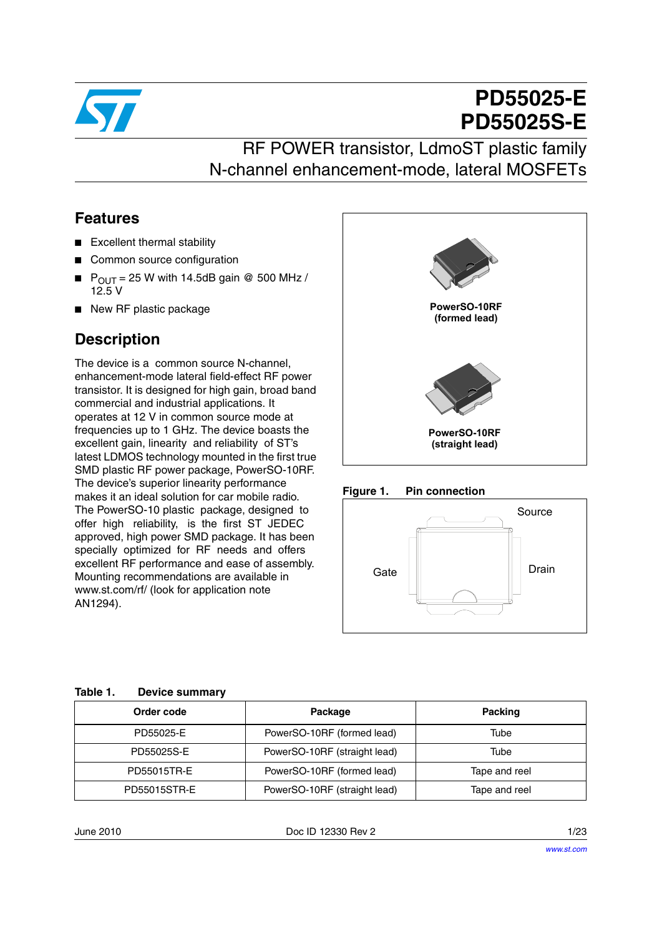

# **PD55025-E PD55025S-E**

### RF POWER transistor, LdmoST plastic family N-channel enhancement-mode, lateral MOSFETs

### **Features**

- Excellent thermal stability
- Common source configuration
- $P_{OUT} = 25$  W with 14.5dB gain @ 500 MHz / 12.5 V
- New RF plastic package

### **Description**

The device is a common source N-channel, enhancement-mode lateral field-effect RF power transistor. It is designed for high gain, broad band commercial and industrial applications. It operates at 12 V in common source mode at frequencies up to 1 GHz. The device boasts the excellent gain, linearity and reliability of ST's latest LDMOS technology mounted in the first true SMD plastic RF power package, PowerSO-10RF. The device's superior linearity performance makes it an ideal solution for car mobile radio. The PowerSO-10 plastic package, designed to offer high reliability, is the first ST JEDEC approved, high power SMD package. It has been specially optimized for RF needs and offers excellent RF performance and ease of assembly. Mounting recommendations are available in www.st.com/rf/ (look for application note AN1294).







| ----------------    |                              |               |
|---------------------|------------------------------|---------------|
| Order code          | Package                      | Packing       |
| PD55025-E           | PowerSO-10RF (formed lead)   | Tube          |
| PD55025S-E          | PowerSO-10RF (straight lead) | Tube          |
| PD55015TR-E         | PowerSO-10RF (formed lead)   | Tape and reel |
| <b>PD55015STR-E</b> | PowerSO-10RF (straight lead) | Tape and reel |

#### **Table 1. Device summary**

June 2010 Doc ID 12330 Rev 2 1/23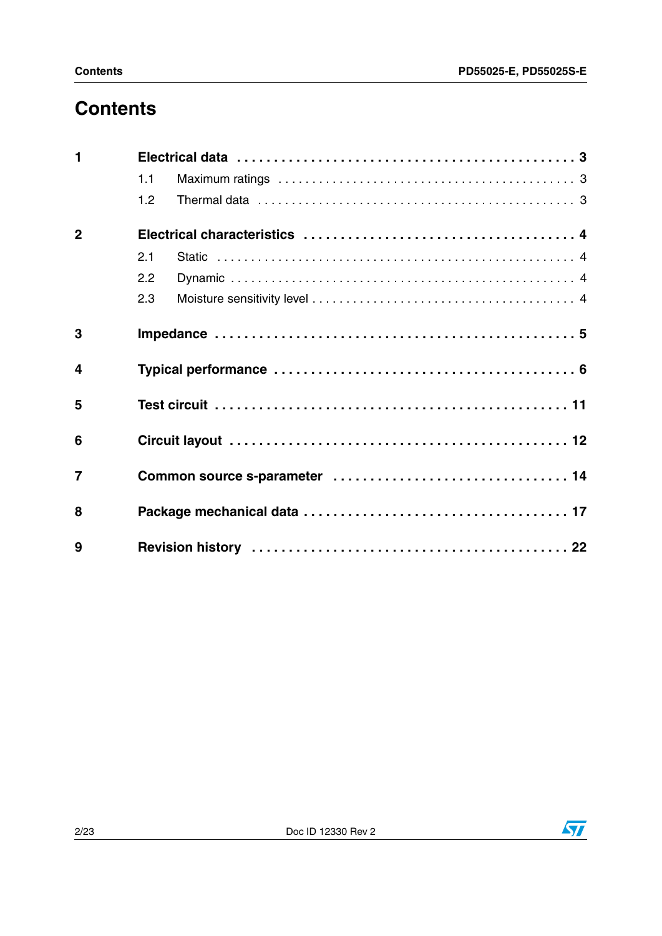### **Contents**

|                  | 1.1 |  |
|------------------|-----|--|
|                  | 1.2 |  |
| $\overline{2}$   |     |  |
|                  | 2.1 |  |
|                  | 2.2 |  |
|                  | 2.3 |  |
| 3                |     |  |
| $\boldsymbol{4}$ |     |  |
| 5                |     |  |
| 6                |     |  |
| $\overline{7}$   |     |  |
| 8                |     |  |
| 9                |     |  |

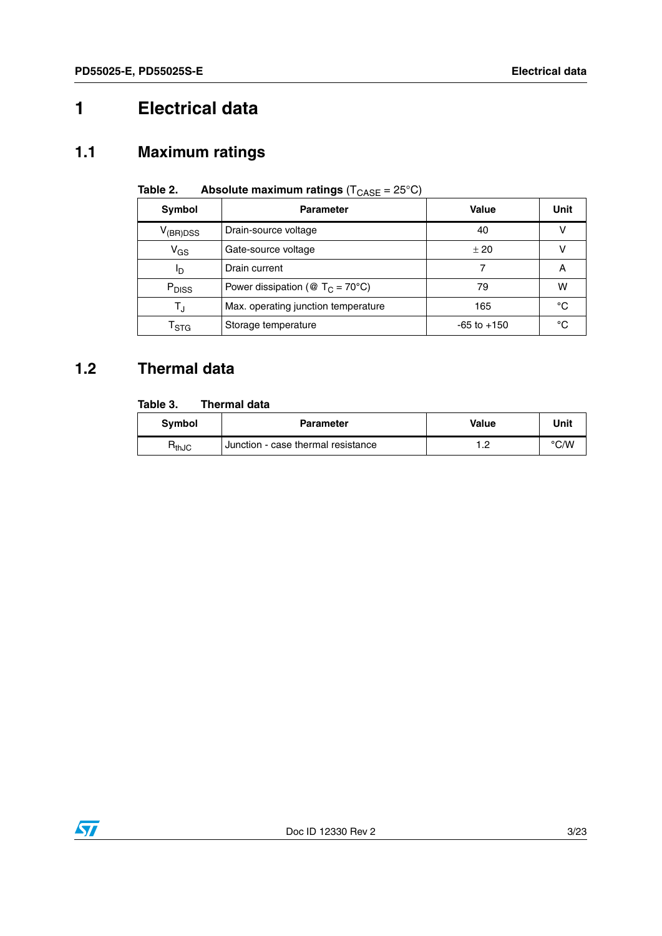## <span id="page-2-0"></span>**1 Electrical data**

### <span id="page-2-1"></span>**1.1 Maximum ratings**

| Symbol                      | <b>Parameter</b>                                       | Value           | Unit |
|-----------------------------|--------------------------------------------------------|-----------------|------|
| $V_{\rm (BR)DSS}$           | Drain-source voltage                                   | 40              |      |
| $V_{GS}$                    | Gate-source voltage                                    | ± 20            | ν    |
| םי                          | Drain current                                          |                 | A    |
| P <sub>DISS</sub>           | Power dissipation ( $\circledR$ T <sub>C</sub> = 70°C) | 79              | W    |
| $\mathsf{T}_\mathsf{J}$     | Max. operating junction temperature                    | 165             | °C   |
| $\mathsf{T}_{\textsf{STG}}$ | Storage temperature                                    | $-65$ to $+150$ | °C   |

### **Table 2.** Absolute maximum ratings  $(T_{\text{CASE}} = 25^{\circ} \text{C})$

### <span id="page-2-2"></span>**1.2 Thermal data**

#### **Table 3. Thermal data**

| <b>Symbol</b> | <b>Parameter</b>                   | Value       | Unit |
|---------------|------------------------------------|-------------|------|
| $R_{thJC}$    | Junction - case thermal resistance | $\sim$<br>. | °C/W |

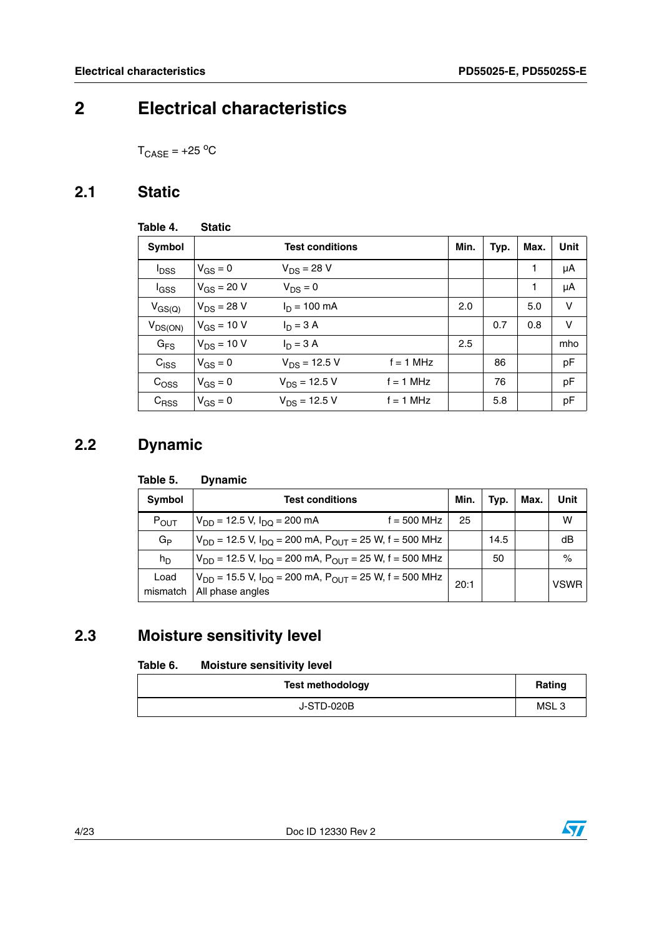### <span id="page-3-0"></span>**2 Electrical characteristics**

 $T_{\text{CASE}} = +25 \text{ °C}$ 

### <span id="page-3-1"></span>**2.1 Static**

| Table 4.                | <b>Static</b>   |                        |             |      |      |      |      |
|-------------------------|-----------------|------------------------|-------------|------|------|------|------|
| <b>Symbol</b>           |                 | <b>Test conditions</b> |             | Min. | Typ. | Max. | Unit |
| <b>I</b> <sub>DSS</sub> | $V_{GS} = 0$    | $V_{DS} = 28 V$        |             |      |      | 1    | μA   |
| $I_{GSS}$               | $V_{GS} = 20 V$ | $V_{DS} = 0$           |             |      |      | 1    | μA   |
| $V_{GS(Q)}$             | $V_{DS} = 28 V$ | $I_n = 100$ mA         |             | 2.0  |      | 5.0  | v    |
| $V_{DS(ON)}$            | $V_{GS}$ = 10 V | $I_D = 3 A$            |             |      | 0.7  | 0.8  | v    |
| $G_{FS}$                | $V_{DS}$ = 10 V | $I_D = 3 A$            |             | 2.5  |      |      | mho  |
| $C_{ SS}$               | $V_{GS} = 0$    | $V_{DS}$ = 12.5 V      | $f = 1$ MHz |      | 86   |      | pF   |
| C <sub>OSS</sub>        | $V_{GS} = 0$    | $V_{DS}$ = 12.5 V      | $f = 1$ MHz |      | 76   |      | pF   |
| $C_{RSS}$               | $V_{GS} = 0$    | $V_{DS} = 12.5 V$      | $f = 1$ MHz |      | 5.8  |      | pF   |

### <span id="page-3-2"></span>**2.2 Dynamic**

#### **Table 5. Dynamic**

| <b>Symbol</b>    | <b>Test conditions</b>                                                                                | Min. | Typ. | Max. | Unit        |
|------------------|-------------------------------------------------------------------------------------------------------|------|------|------|-------------|
| $P_{OUT}$        | $f = 500$ MHz<br>$V_{DD}$ = 12.5 V, $I_{DD}$ = 200 mA                                                 | 25   |      |      | w           |
| $G_{\mathsf{P}}$ | $V_{DD}$ = 12.5 V, $I_{DO}$ = 200 mA, $P_{OUT}$ = 25 W, f = 500 MHz                                   |      | 14.5 |      | dB          |
| $h_D$            | $V_{DD}$ = 12.5 V, I <sub>DQ</sub> = 200 mA, P <sub>OUT</sub> = 25 W, f = 500 MHz                     |      | 50   |      | $\%$        |
| Load<br>mismatch | $V_{DD}$ = 15.5 V, I <sub>DO</sub> = 200 mA, P <sub>OUT</sub> = 25 W, f = 500 MHz<br>All phase angles | 20:1 |      |      | <b>VSWR</b> |

### <span id="page-3-3"></span>**2.3 Moisture sensitivity level**

#### <span id="page-3-4"></span>Table 6. **Moisture sensitivity level**

| <b>Test methodology</b> | Rating |
|-------------------------|--------|
| J-STD-020B              | MSL3   |

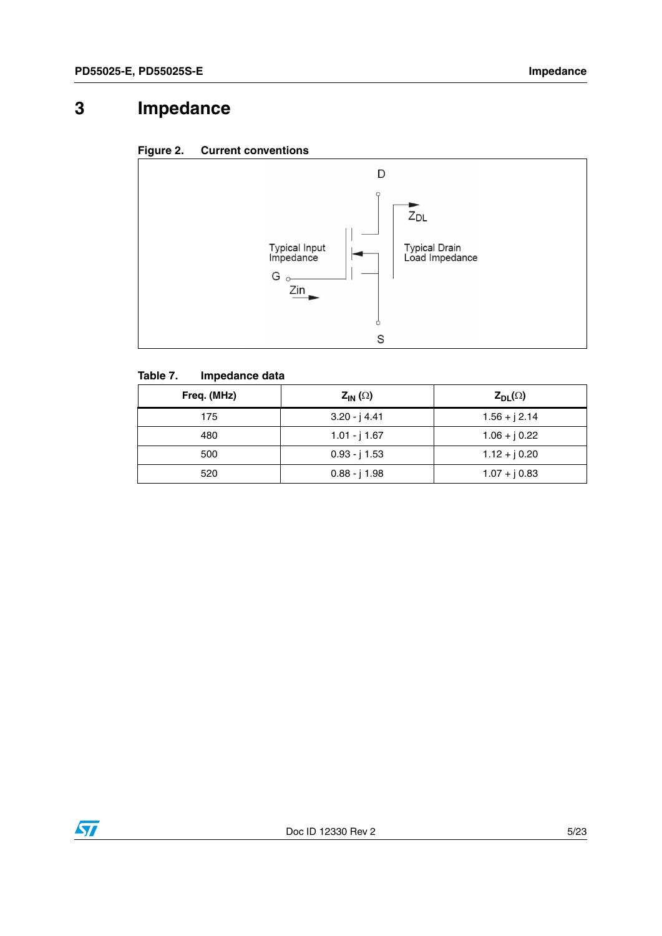### <span id="page-4-0"></span>**3 Impedance**





#### **Table 7. Impedance data**

| Freq. (MHz) | $Z_{IN}(\Omega)$ | $Z_{DL}(\Omega)$ |
|-------------|------------------|------------------|
| 175         | $3.20 - j$ 4.41  | $1.56 + j 2.14$  |
| 480         | $1.01 - j 1.67$  | $1.06 + j 0.22$  |
| 500         | $0.93 - j 1.53$  | $1.12 + j0.20$   |
| 520         | $0.88 - j 1.98$  | $1.07 + j 0.83$  |

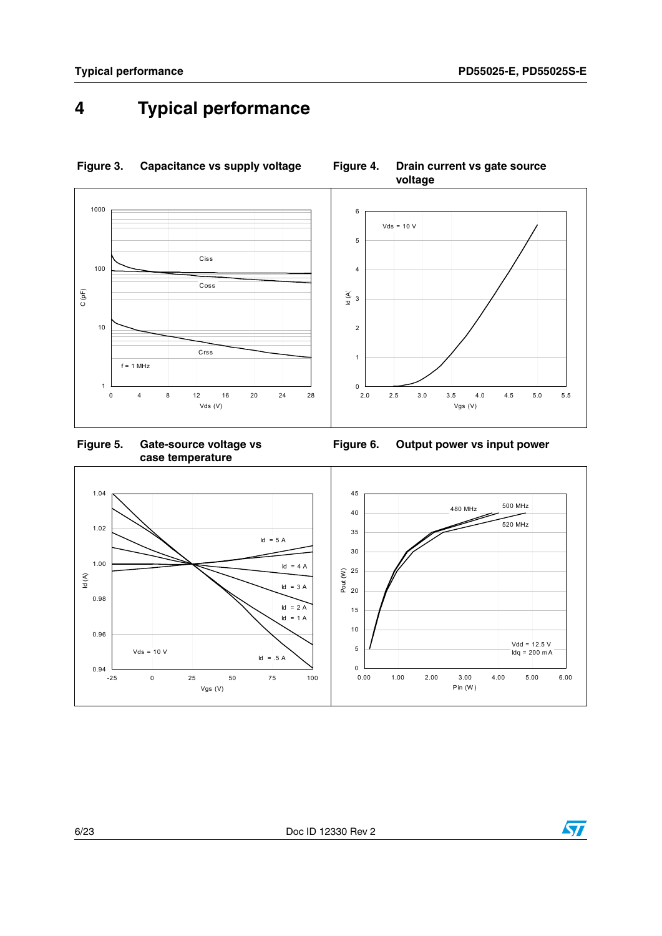### <span id="page-5-0"></span>**4 Typical performance**



#### **Figure 3. Capacitance vs supply voltage Figure 4. Drain current vs gate source**

**voltage**

**Figure 5. Gate-source voltage vs case temperature**





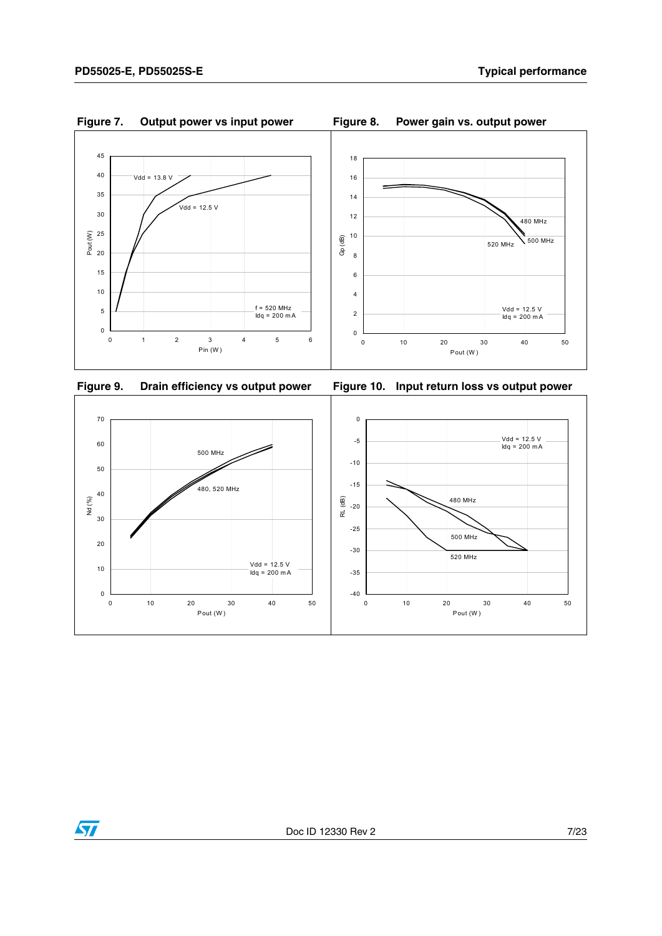



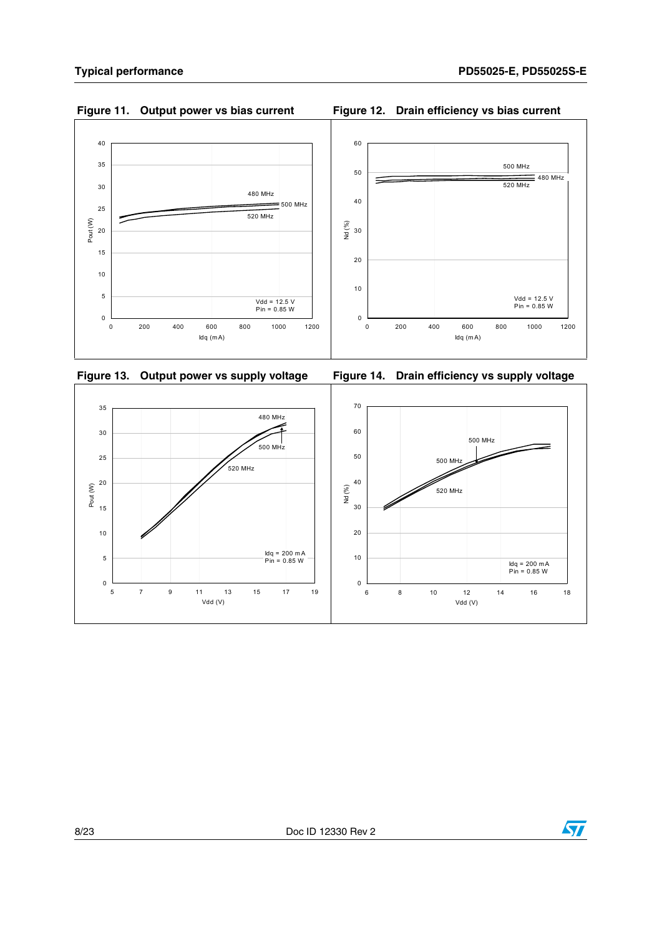









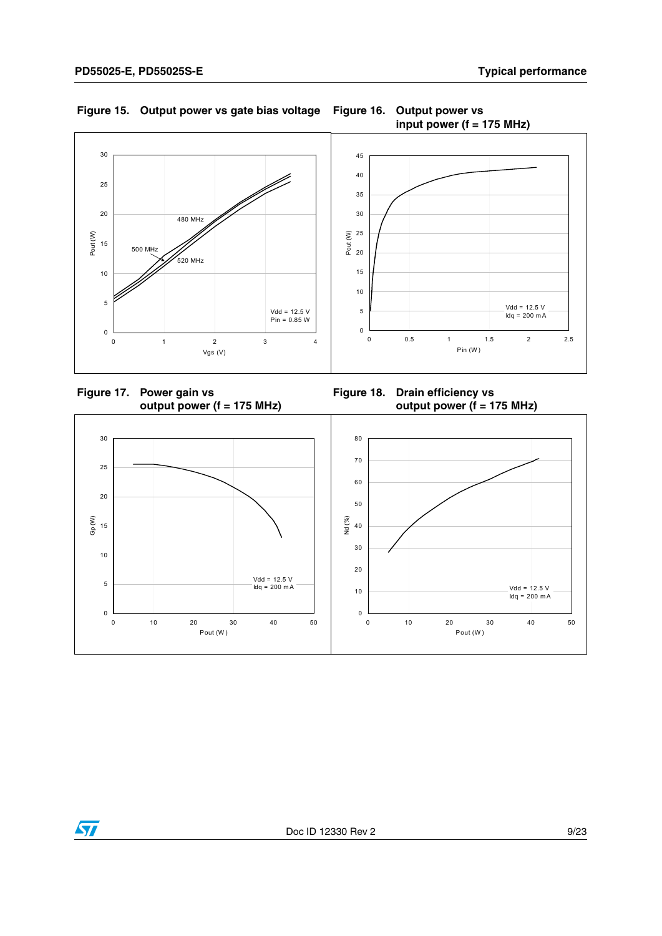

### **Figure 15. Output power vs gate bias voltage Figure 16. Output power vs**





**Figure 18. Drain efficiency vs output power (f = 175 MHz)**

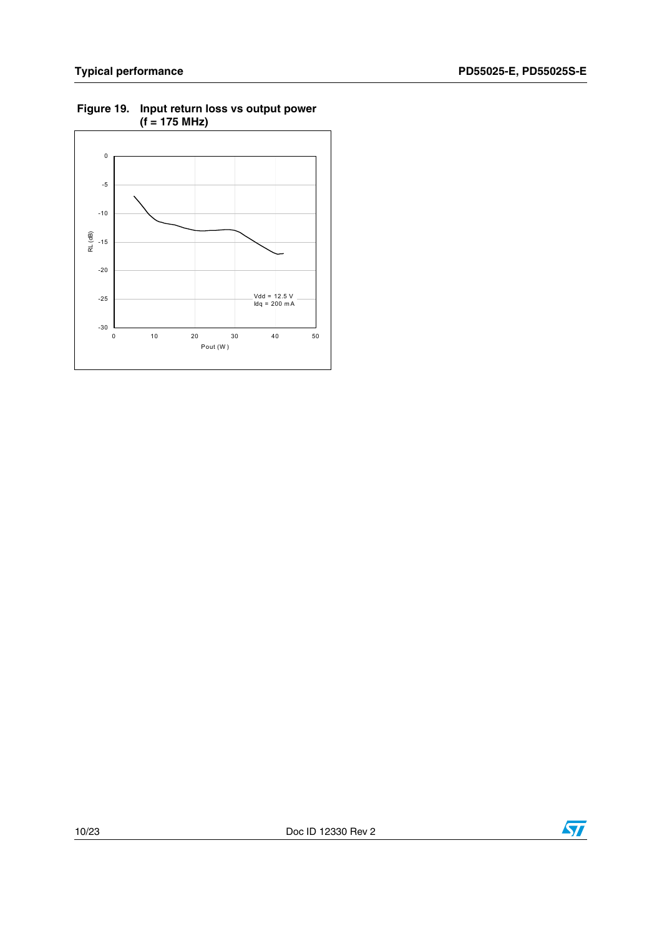

#### **Figure 19. Input return loss vs output power (f = 175 MHz)**

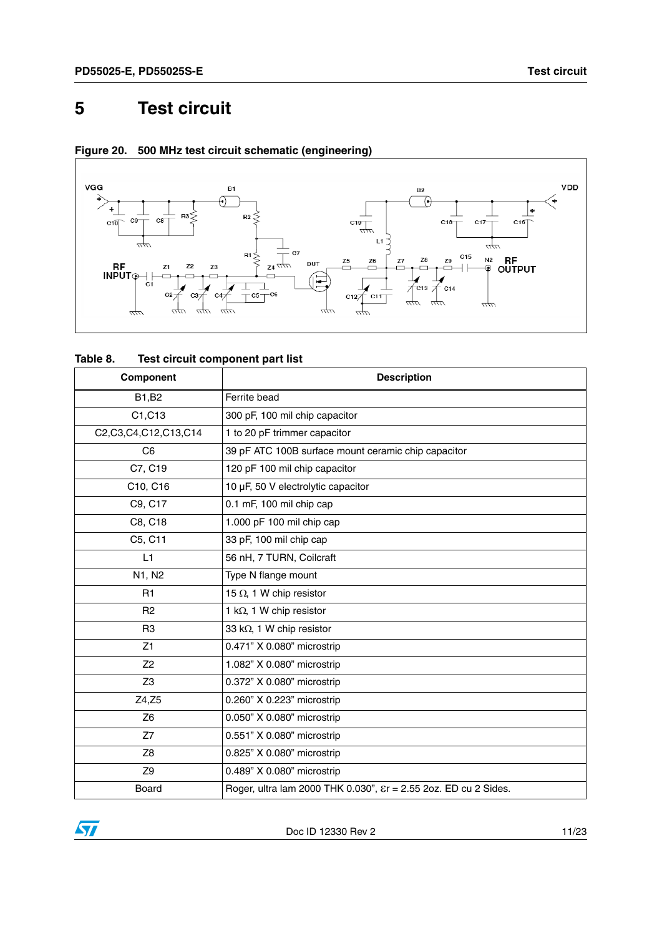### <span id="page-10-0"></span>**5 Test circuit**



### **Figure 20. 500 MHz test circuit schematic (engineering)**

| Table 8. | Test circuit component part list |
|----------|----------------------------------|
|----------|----------------------------------|

| Component            | <b>Description</b>                                                           |
|----------------------|------------------------------------------------------------------------------|
| B1, B2               | Ferrite bead                                                                 |
| C1, C13              | 300 pF, 100 mil chip capacitor                                               |
| C2,C3,C4,C12,C13,C14 | 1 to 20 pF trimmer capacitor                                                 |
| C <sub>6</sub>       | 39 pF ATC 100B surface mount ceramic chip capacitor                          |
| C7, C19              | 120 pF 100 mil chip capacitor                                                |
| C10, C16             | 10 µF, 50 V electrolytic capacitor                                           |
| C9, C17              | 0.1 mF, 100 mil chip cap                                                     |
| C8, C18              | 1.000 pF 100 mil chip cap                                                    |
| C5, C11              | 33 pF, 100 mil chip cap                                                      |
| L1                   | 56 nH, 7 TURN, Coilcraft                                                     |
| N1, N2               | Type N flange mount                                                          |
| R1                   | 15 $\Omega$ , 1 W chip resistor                                              |
| R <sub>2</sub>       | 1 k $\Omega$ , 1 W chip resistor                                             |
| R <sub>3</sub>       | 33 k $\Omega$ , 1 W chip resistor                                            |
| Z1                   | 0.471" X 0.080" microstrip                                                   |
| Z <sub>2</sub>       | 1.082" X 0.080" microstrip                                                   |
| Z <sub>3</sub>       | 0.372" X 0.080" microstrip                                                   |
| Z4, Z5               | 0.260" X 0.223" microstrip                                                   |
| Z <sub>6</sub>       | 0.050" X 0.080" microstrip                                                   |
| Z7                   | 0.551" X 0.080" microstrip                                                   |
| Z <sub>8</sub>       | 0.825" X 0.080" microstrip                                                   |
| Z <sub>9</sub>       | 0.489" X 0.080" microstrip                                                   |
| Board                | Roger, ultra lam 2000 THK 0.030", $\varepsilon$ r = 2.55 2oz. ED cu 2 Sides. |

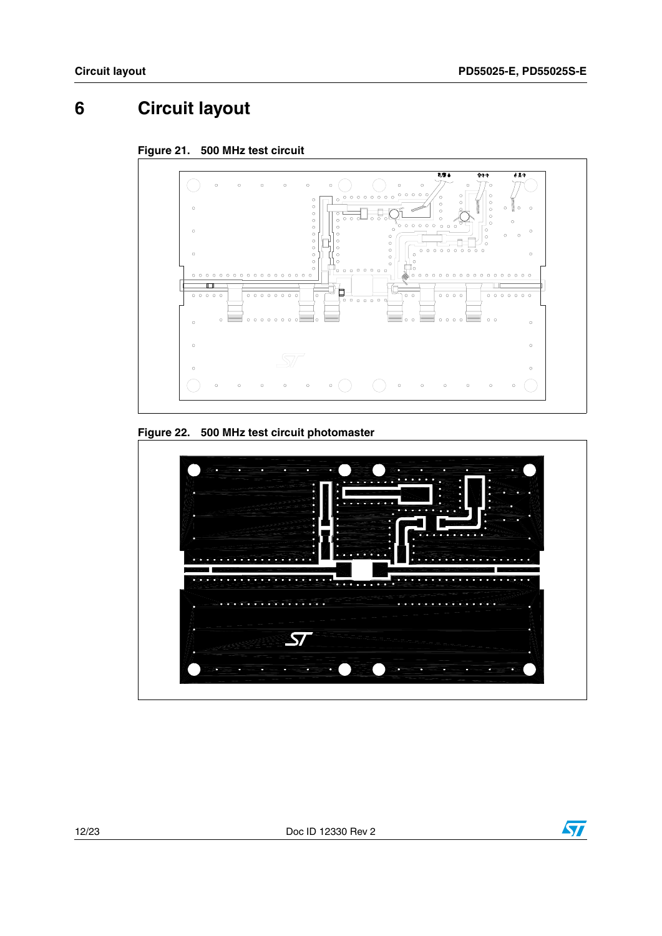## <span id="page-11-0"></span>**6 Circuit layout**









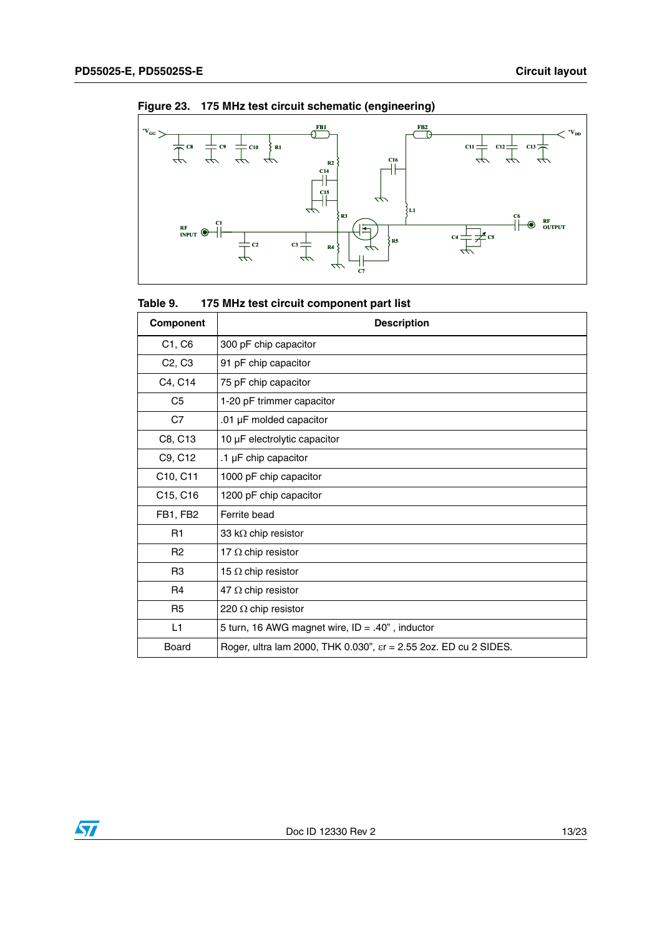

**Figure 23. 175 MHz test circuit schematic (engineering)**

| Table 9. | 175 MHz test circuit component part list |
|----------|------------------------------------------|
|----------|------------------------------------------|

| Component                       | <b>Description</b>                                                         |
|---------------------------------|----------------------------------------------------------------------------|
| C1, C6                          | 300 pF chip capacitor                                                      |
| C <sub>2</sub> , C <sub>3</sub> | 91 pF chip capacitor                                                       |
| C4, C14                         | 75 pF chip capacitor                                                       |
| C <sub>5</sub>                  | 1-20 pF trimmer capacitor                                                  |
| C7                              | .01 µF molded capacitor                                                    |
| C8, C13                         | 10 µF electrolytic capacitor                                               |
| C9, C12                         | .1 µF chip capacitor                                                       |
| C10, C11                        | 1000 pF chip capacitor                                                     |
| C15, C16                        | 1200 pF chip capacitor                                                     |
| FB1, FB2                        | Ferrite bead                                                               |
| R <sub>1</sub>                  | 33 k $\Omega$ chip resistor                                                |
| R <sub>2</sub>                  | 17 $\Omega$ chip resistor                                                  |
| R <sub>3</sub>                  | 15 $\Omega$ chip resistor                                                  |
| R <sub>4</sub>                  | 47 $\Omega$ chip resistor                                                  |
| R <sub>5</sub>                  | 220 $\Omega$ chip resistor                                                 |
| L1                              | 5 turn, 16 AWG magnet wire, $ID = .40$ ", inductor                         |
| Board                           | Roger, ultra lam 2000, THK 0.030", $\epsilon$ r = 2.55 2oz. ED cu 2 SIDES. |

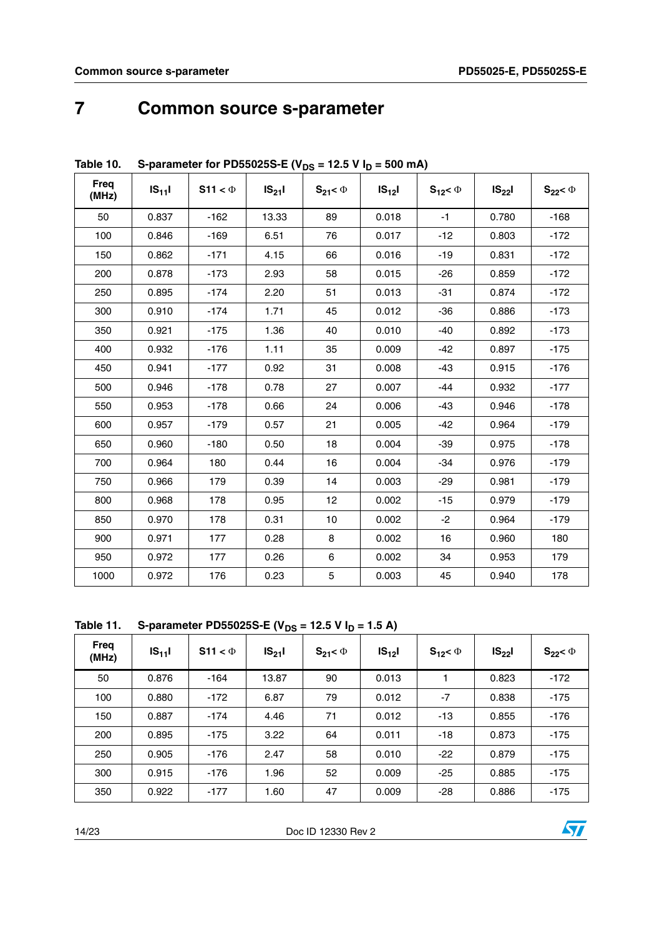### <span id="page-13-0"></span>**7 Common source s-parameter**

| <b>Freq</b><br>(MHz) | $IS_{11}I$ | S11 < $\Phi$ | $IS_{21}I$ | $S_{21} < \Phi$ | $IS_{12}$ | $S_{12} < \Phi$ | $IS_{22}$ | $S_{22}$ < $\Phi$ |
|----------------------|------------|--------------|------------|-----------------|-----------|-----------------|-----------|-------------------|
| 50                   | 0.837      | $-162$       | 13.33      | 89              | 0.018     | $-1$            | 0.780     | $-168$            |
| 100                  | 0.846      | $-169$       | 6.51       | 76              | 0.017     | $-12$           | 0.803     | $-172$            |
| 150                  | 0.862      | $-171$       | 4.15       | 66              | 0.016     | $-19$           | 0.831     | $-172$            |
| 200                  | 0.878      | $-173$       | 2.93       | 58              | 0.015     | $-26$           | 0.859     | $-172$            |
| 250                  | 0.895      | $-174$       | 2.20       | 51              | 0.013     | $-31$           | 0.874     | $-172$            |
| 300                  | 0.910      | $-174$       | 1.71       | 45              | 0.012     | $-36$           | 0.886     | $-173$            |
| 350                  | 0.921      | $-175$       | 1.36       | 40              | 0.010     | $-40$           | 0.892     | $-173$            |
| 400                  | 0.932      | $-176$       | 1.11       | 35              | 0.009     | $-42$           | 0.897     | $-175$            |
| 450                  | 0.941      | $-177$       | 0.92       | 31              | 0.008     | $-43$           | 0.915     | $-176$            |
| 500                  | 0.946      | $-178$       | 0.78       | 27              | 0.007     | -44             | 0.932     | $-177$            |
| 550                  | 0.953      | $-178$       | 0.66       | 24              | 0.006     | -43             | 0.946     | $-178$            |
| 600                  | 0.957      | $-179$       | 0.57       | 21              | 0.005     | $-42$           | 0.964     | $-179$            |
| 650                  | 0.960      | $-180$       | 0.50       | 18              | 0.004     | $-39$           | 0.975     | $-178$            |
| 700                  | 0.964      | 180          | 0.44       | 16              | 0.004     | $-34$           | 0.976     | $-179$            |
| 750                  | 0.966      | 179          | 0.39       | 14              | 0.003     | $-29$           | 0.981     | $-179$            |
| 800                  | 0.968      | 178          | 0.95       | 12              | 0.002     | $-15$           | 0.979     | $-179$            |
| 850                  | 0.970      | 178          | 0.31       | 10              | 0.002     | $-2$            | 0.964     | $-179$            |
| 900                  | 0.971      | 177          | 0.28       | 8               | 0.002     | 16              | 0.960     | 180               |
| 950                  | 0.972      | 177          | 0.26       | 6               | 0.002     | 34              | 0.953     | 179               |
| 1000                 | 0.972      | 176          | 0.23       | 5               | 0.003     | 45              | 0.940     | 178               |

#### Table 10. S-parameter for PD55025S-E (V<sub>DS</sub> = 12.5 V  $I_D$  = 500 mA)

**Table 11.** S-parameter PD55025S-E (V<sub>DS</sub> = 12.5 V I<sub>D</sub> = 1.5 A)

| Freq<br>(MHz) | $IS_{11}$ | S11 < $\Phi$ | $IS_{21}$ | $S_{21} < \Phi$ | $IS_{12}$ | $S_{12} < \Phi$ | $IS_{22}$ | $S_{22} < \Phi$ |
|---------------|-----------|--------------|-----------|-----------------|-----------|-----------------|-----------|-----------------|
| 50            | 0.876     | $-164$       | 13.87     | 90              | 0.013     |                 | 0.823     | $-172$          |
| 100           | 0.880     | $-172$       | 6.87      | 79              | 0.012     | $-7$            | 0.838     | $-175$          |
| 150           | 0.887     | $-174$       | 4.46      | 71              | 0.012     | $-13$           | 0.855     | $-176$          |
| 200           | 0.895     | $-175$       | 3.22      | 64              | 0.011     | $-18$           | 0.873     | $-175$          |
| 250           | 0.905     | -176         | 2.47      | 58              | 0.010     | $-22$           | 0.879     | $-175$          |
| 300           | 0.915     | $-176$       | 1.96      | 52              | 0.009     | $-25$           | 0.885     | $-175$          |
| 350           | 0.922     | $-177$       | 1.60      | 47              | 0.009     | $-28$           | 0.886     | $-175$          |

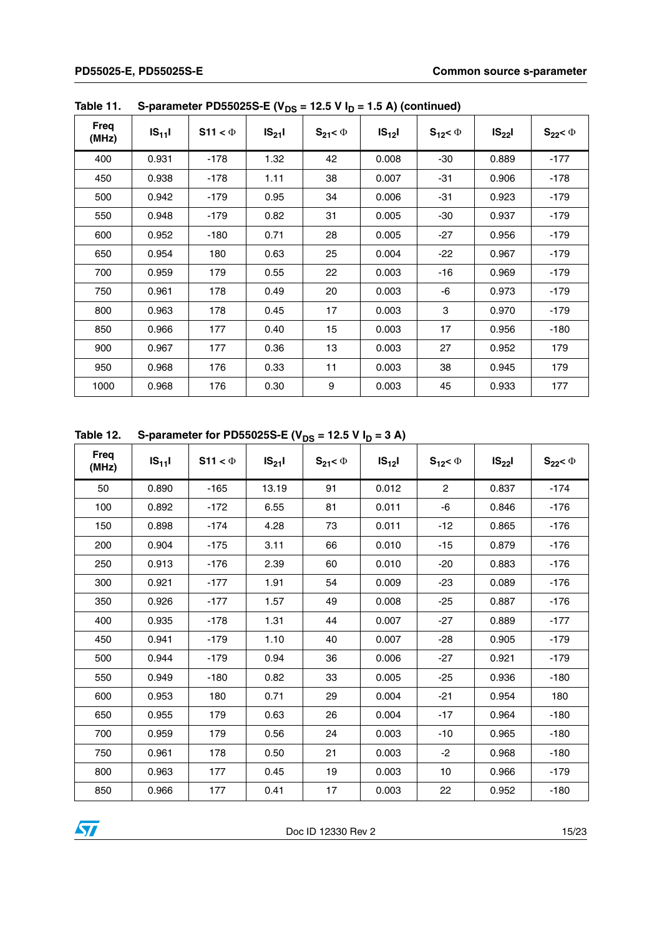|                      |           |              | .         |                 |           |                 |           |                   |
|----------------------|-----------|--------------|-----------|-----------------|-----------|-----------------|-----------|-------------------|
| <b>Freq</b><br>(MHz) | $IS_{11}$ | S11 < $\Phi$ | $IS_{21}$ | $S_{21} < \Phi$ | $IS_{12}$ | $S_{12} < \Phi$ | $IS_{22}$ | $S_{22}$ < $\Phi$ |
| 400                  | 0.931     | $-178$       | 1.32      | 42              | 0.008     | -30             | 0.889     | $-177$            |
| 450                  | 0.938     | $-178$       | 1.11      | 38              | 0.007     | $-31$           | 0.906     | $-178$            |
| 500                  | 0.942     | $-179$       | 0.95      | 34              | 0.006     | $-31$           | 0.923     | $-179$            |
| 550                  | 0.948     | $-179$       | 0.82      | 31              | 0.005     | -30             | 0.937     | $-179$            |
| 600                  | 0.952     | $-180$       | 0.71      | 28              | 0.005     | $-27$           | 0.956     | $-179$            |
| 650                  | 0.954     | 180          | 0.63      | 25              | 0.004     | $-22$           | 0.967     | $-179$            |
| 700                  | 0.959     | 179          | 0.55      | 22              | 0.003     | -16             | 0.969     | -179              |
| 750                  | 0.961     | 178          | 0.49      | 20              | 0.003     | -6              | 0.973     | $-179$            |
| 800                  | 0.963     | 178          | 0.45      | 17              | 0.003     | 3               | 0.970     | $-179$            |
| 850                  | 0.966     | 177          | 0.40      | 15              | 0.003     | 17              | 0.956     | $-180$            |
| 900                  | 0.967     | 177          | 0.36      | 13              | 0.003     | 27              | 0.952     | 179               |
| 950                  | 0.968     | 176          | 0.33      | 11              | 0.003     | 38              | 0.945     | 179               |
| 1000                 | 0.968     | 176          | 0.30      | 9               | 0.003     | 45              | 0.933     | 177               |

Table 11. S-parameter PD55025S-E ( $V_{DS}$  = 12.5 V I<sub>D</sub> = 1.5 A) (continued)

Table 12. S-parameter for PD55025S-E ( $V_{DS}$  = 12.5 V  $I_D$  = 3 A)

| Freq<br>(MHz) | $IS_{11}$ | S11 < $\Phi$ | $IS_{21}$ | $S_{21} < \Phi$ | $IS_{12}$ | $S_{12} < \Phi$ | $IS_{22}$ | $S_{22}$ < $\Phi$ |
|---------------|-----------|--------------|-----------|-----------------|-----------|-----------------|-----------|-------------------|
| 50            | 0.890     | $-165$       | 13.19     | 91              | 0.012     | $\overline{2}$  | 0.837     | $-174$            |
| 100           | 0.892     | $-172$       | 6.55      | 81              | 0.011     | $-6$            | 0.846     | $-176$            |
| 150           | 0.898     | $-174$       | 4.28      | 73              | 0.011     | $-12$           | 0.865     | $-176$            |
| 200           | 0.904     | -175         | 3.11      | 66              | 0.010     | $-15$           | 0.879     | $-176$            |
| 250           | 0.913     | -176         | 2.39      | 60              | 0.010     | $-20$           | 0.883     | $-176$            |
| 300           | 0.921     | -177         | 1.91      | 54              | 0.009     | -23             | 0.089     | $-176$            |
| 350           | 0.926     | $-177$       | 1.57      | 49              | 0.008     | $-25$           | 0.887     | $-176$            |
| 400           | 0.935     | $-178$       | 1.31      | 44              | 0.007     | $-27$           | 0.889     | $-177$            |
| 450           | 0.941     | $-179$       | 1.10      | 40              | 0.007     | $-28$           | 0.905     | $-179$            |
| 500           | 0.944     | $-179$       | 0.94      | 36              | 0.006     | $-27$           | 0.921     | $-179$            |
| 550           | 0.949     | $-180$       | 0.82      | 33              | 0.005     | $-25$           | 0.936     | $-180$            |
| 600           | 0.953     | 180          | 0.71      | 29              | 0.004     | $-21$           | 0.954     | 180               |
| 650           | 0.955     | 179          | 0.63      | 26              | 0.004     | $-17$           | 0.964     | $-180$            |
| 700           | 0.959     | 179          | 0.56      | 24              | 0.003     | -10             | 0.965     | $-180$            |
| 750           | 0.961     | 178          | 0.50      | 21              | 0.003     | $-2$            | 0.968     | $-180$            |
| 800           | 0.963     | 177          | 0.45      | 19              | 0.003     | 10              | 0.966     | $-179$            |
| 850           | 0.966     | 177          | 0.41      | 17              | 0.003     | 22              | 0.952     | $-180$            |

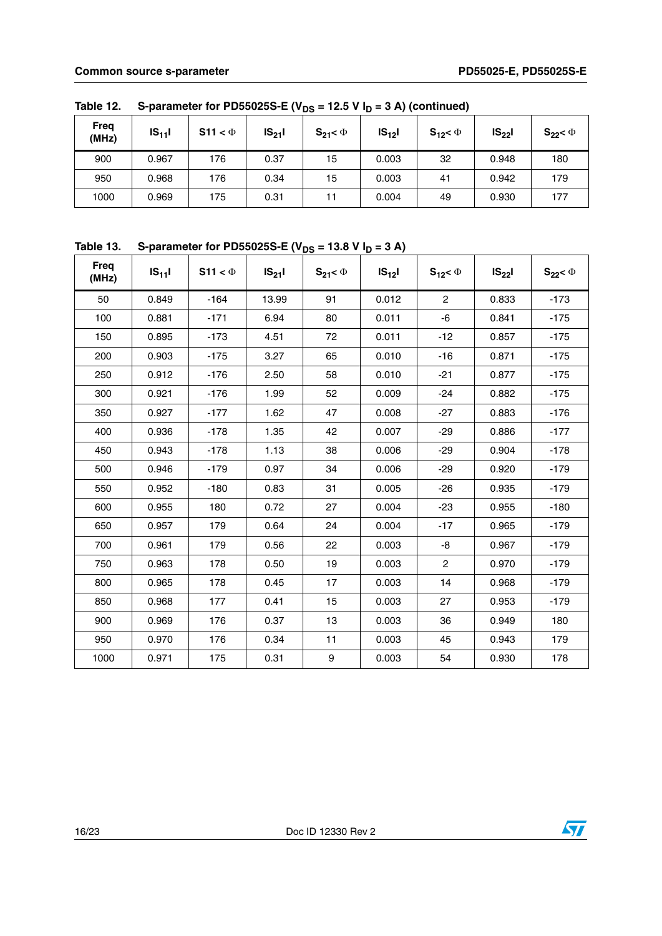| Freq<br>(MHz) | $IS_{11}$ | S11 < $\Phi$ | $IS_{21}$ | $S_{21} < \Phi$ | $IS_{12}$ | $S_{12} < \Phi$ | $IS_{22}$ | $S_{22}$ < $\Phi$ |
|---------------|-----------|--------------|-----------|-----------------|-----------|-----------------|-----------|-------------------|
| 900           | 0.967     | 176          | 0.37      | 15              | 0.003     | 32              | 0.948     | 180               |
| 950           | 0.968     | 176          | 0.34      | 15              | 0.003     | 41              | 0.942     | 179               |
| 1000          | 0.969     | 175          | 0.31      | 11              | 0.004     | 49              | 0.930     | 177               |

Table 12. S-parameter for PD55025S-E ( $V_{DS}$  = 12.5 V  $I_D$  = 3 A) (continued)

|  | Table 13. S-parameter for PD55025S-E ( $V_{DS}$ = 13.8 V I <sub>D</sub> = 3 A) |
|--|--------------------------------------------------------------------------------|
|--|--------------------------------------------------------------------------------|

| <b>Freq</b><br>(MHz) | $IS_{11}$ | S11 < $\Phi$ | $IS_{21}I$ | $S_{21} < \Phi$  | $IS_{12}$ | $S_{12} < \Phi$ | $IS_{22}$ | $S_{22}$ < $\Phi$ |
|----------------------|-----------|--------------|------------|------------------|-----------|-----------------|-----------|-------------------|
| 50                   | 0.849     | $-164$       | 13.99      | 91               | 0.012     | $\overline{2}$  | 0.833     | $-173$            |
| 100                  | 0.881     | $-171$       | 6.94       | 80               | 0.011     | -6              | 0.841     | $-175$            |
| 150                  | 0.895     | $-173$       | 4.51       | 72               | 0.011     | $-12$           | 0.857     | $-175$            |
| 200                  | 0.903     | $-175$       | 3.27       | 65               | 0.010     | $-16$           | 0.871     | $-175$            |
| 250                  | 0.912     | $-176$       | 2.50       | 58               | 0.010     | $-21$           | 0.877     | $-175$            |
| 300                  | 0.921     | $-176$       | 1.99       | 52               | 0.009     | $-24$           | 0.882     | -175              |
| 350                  | 0.927     | $-177$       | 1.62       | 47               | 0.008     | $-27$           | 0.883     | $-176$            |
| 400                  | 0.936     | $-178$       | 1.35       | 42               | 0.007     | $-29$           | 0.886     | $-177$            |
| 450                  | 0.943     | $-178$       | 1.13       | 38               | 0.006     | $-29$           | 0.904     | $-178$            |
| 500                  | 0.946     | $-179$       | 0.97       | 34               | 0.006     | $-29$           | 0.920     | $-179$            |
| 550                  | 0.952     | $-180$       | 0.83       | 31               | 0.005     | $-26$           | 0.935     | $-179$            |
| 600                  | 0.955     | 180          | 0.72       | 27               | 0.004     | $-23$           | 0.955     | $-180$            |
| 650                  | 0.957     | 179          | 0.64       | 24               | 0.004     | $-17$           | 0.965     | $-179$            |
| 700                  | 0.961     | 179          | 0.56       | 22               | 0.003     | -8              | 0.967     | $-179$            |
| 750                  | 0.963     | 178          | 0.50       | 19               | 0.003     | $\mathbf{2}$    | 0.970     | $-179$            |
| 800                  | 0.965     | 178          | 0.45       | 17               | 0.003     | 14              | 0.968     | $-179$            |
| 850                  | 0.968     | 177          | 0.41       | 15               | 0.003     | 27              | 0.953     | $-179$            |
| 900                  | 0.969     | 176          | 0.37       | 13               | 0.003     | 36              | 0.949     | 180               |
| 950                  | 0.970     | 176          | 0.34       | 11               | 0.003     | 45              | 0.943     | 179               |
| 1000                 | 0.971     | 175          | 0.31       | $\boldsymbol{9}$ | 0.003     | 54              | 0.930     | 178               |

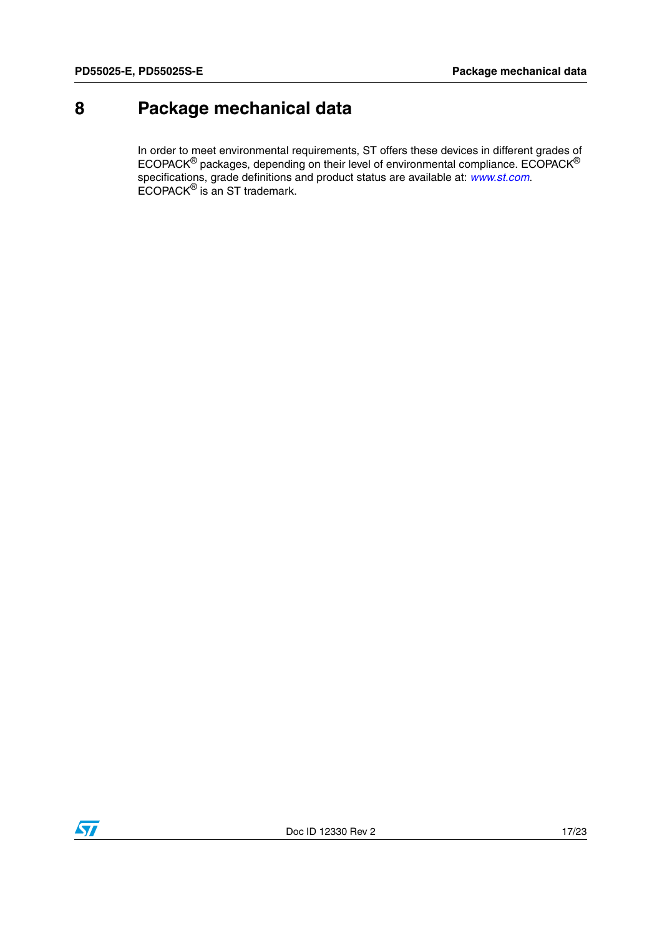### <span id="page-16-0"></span>**8 Package mechanical data**

In order to meet environmental requirements, ST offers these devices in different grades of ECOPACK $^{\circledR}$  packages, depending on their level of environmental compliance. ECOPACK $^{\circledR}$ specifications, grade definitions and product status are available at: *[www.st.com](http://www.st.com)*. ECOPACK® is an ST trademark.

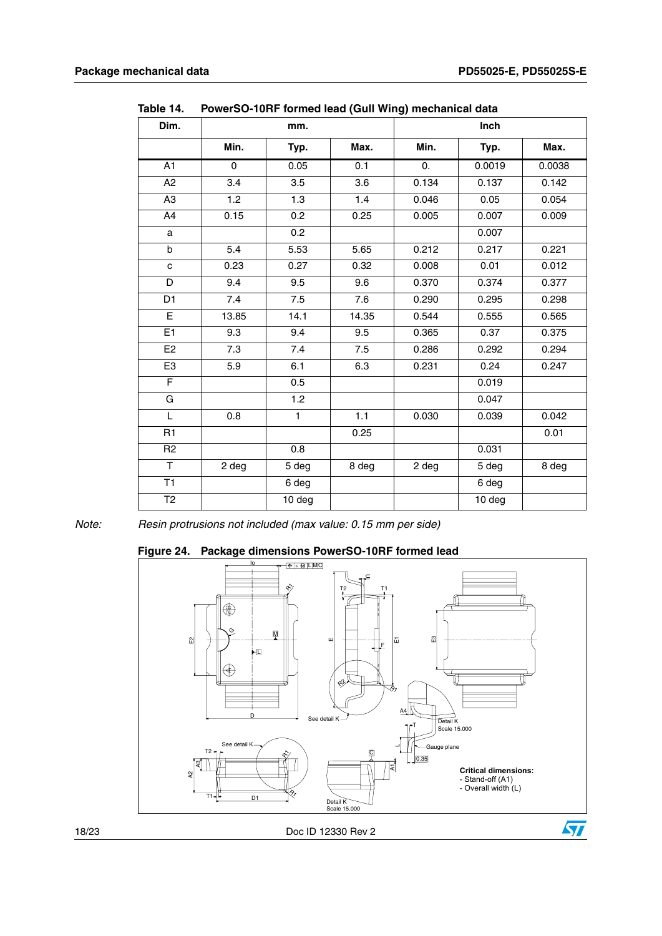| Dim.            |       | $\sim$ 101.11 Torritor Todd (Gall Wing) incondition<br>mm. |         |                  | Inch   |        |
|-----------------|-------|------------------------------------------------------------|---------|------------------|--------|--------|
|                 | Min.  | Typ.                                                       | Max.    | Min.             | Typ.   | Max.   |
| $\overline{A1}$ | 0     | 0.05                                                       | 0.1     | $\overline{0}$ . | 0.0019 | 0.0038 |
| A2              | 3.4   | 3.5                                                        | 3.6     | 0.134            | 0.137  | 0.142  |
| A <sub>3</sub>  | 1.2   | 1.3                                                        | 1.4     | 0.046            | 0.05   | 0.054  |
| A4              | 0.15  | 0.2                                                        | 0.25    | 0.005            | 0.007  | 0.009  |
| a               |       | 0.2                                                        |         |                  | 0.007  |        |
| b               | 5.4   | 5.53                                                       | 5.65    | 0.212            | 0.217  | 0.221  |
| $\mathbf{C}$    | 0.23  | 0.27                                                       | 0.32    | 0.008            | 0.01   | 0.012  |
| D               | 9.4   | 9.5                                                        | 9.6     | 0.370            | 0.374  | 0.377  |
| D <sub>1</sub>  | 7.4   | 7.5                                                        | 7.6     | 0.290            | 0.295  | 0.298  |
| E               | 13.85 | 14.1                                                       | 14.35   | 0.544            | 0.555  | 0.565  |
| E <sub>1</sub>  | 9.3   | 9.4                                                        | 9.5     | 0.365            | 0.37   | 0.375  |
| E <sub>2</sub>  | 7.3   | $7.4\,$                                                    | $7.5\,$ | 0.286            | 0.292  | 0.294  |
| E <sub>3</sub>  | 5.9   | 6.1                                                        | 6.3     | 0.231            | 0.24   | 0.247  |
| F               |       | 0.5                                                        |         |                  | 0.019  |        |
| G               |       | 1.2                                                        |         |                  | 0.047  |        |
| L               | 0.8   | $\mathbf{1}$                                               | 1.1     | 0.030            | 0.039  | 0.042  |
| R1              |       |                                                            | 0.25    |                  |        | 0.01   |
| R <sub>2</sub>  |       | 0.8                                                        |         |                  | 0.031  |        |
| T.              | 2 deg | 5 deg                                                      | 8 deg   | 2 deg            | 5 deg  | 8 deg  |
| T1              |       | 6 deg                                                      |         |                  | 6 deg  |        |
| T <sub>2</sub>  |       | 10 deg                                                     |         |                  | 10 deg |        |

Table 14 **Table 14. PowerSO-10RF formed lead (Gull Wing) mechanical data**

*Note: Resin protrusions not included (max value: 0.15 mm per side)*

**Figure 24. Package dimensions PowerSO-10RF formed lead**

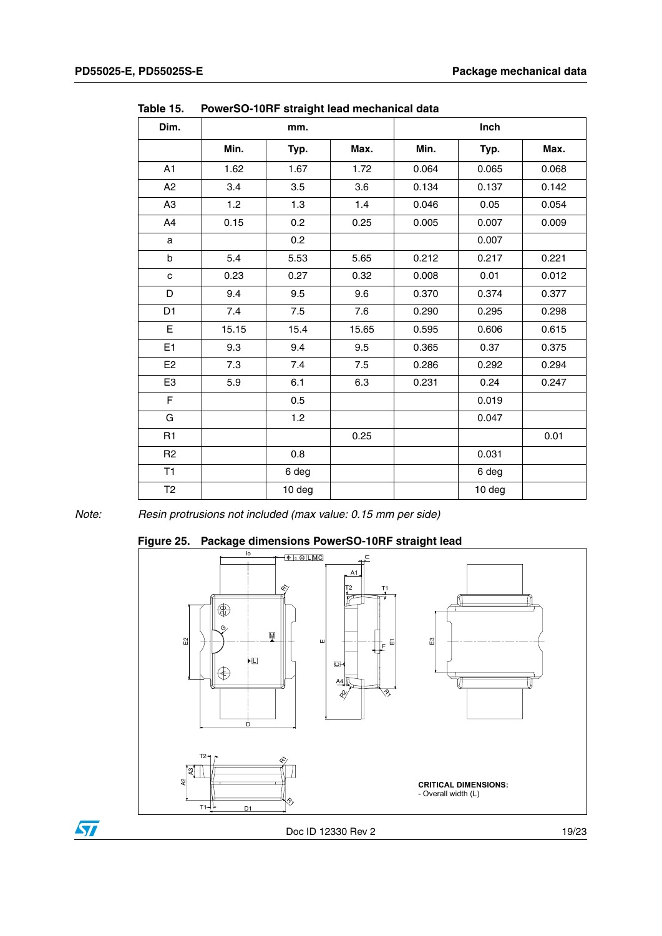$\sqrt{5}$ 

| .uwit 19.      |       | TOWCTOO-TUTTI SHAIGHT ICAU INCONATION UATA |       |       |        |       |
|----------------|-------|--------------------------------------------|-------|-------|--------|-------|
| Dim.           |       | mm.                                        |       |       | Inch   |       |
|                | Min.  | Typ.                                       | Max.  | Min.  | Typ.   | Max.  |
| A1             | 1.62  | 1.67                                       | 1.72  | 0.064 | 0.065  | 0.068 |
| A2             | 3.4   | 3.5                                        | 3.6   | 0.134 | 0.137  | 0.142 |
| A <sub>3</sub> | 1.2   | 1.3                                        | 1.4   | 0.046 | 0.05   | 0.054 |
| A4             | 0.15  | 0.2                                        | 0.25  | 0.005 | 0.007  | 0.009 |
| a              |       | 0.2                                        |       |       | 0.007  |       |
| b              | 5.4   | 5.53                                       | 5.65  | 0.212 | 0.217  | 0.221 |
| $\mathbf{C}$   | 0.23  | 0.27                                       | 0.32  | 0.008 | 0.01   | 0.012 |
| D              | 9.4   | 9.5                                        | 9.6   | 0.370 | 0.374  | 0.377 |
| D <sub>1</sub> | 7.4   | 7.5                                        | 7.6   | 0.290 | 0.295  | 0.298 |
| E              | 15.15 | 15.4                                       | 15.65 | 0.595 | 0.606  | 0.615 |
| E1             | 9.3   | 9.4                                        | 9.5   | 0.365 | 0.37   | 0.375 |
| E <sub>2</sub> | 7.3   | 7.4                                        | 7.5   | 0.286 | 0.292  | 0.294 |
| E <sub>3</sub> | 5.9   | 6.1                                        | 6.3   | 0.231 | 0.24   | 0.247 |
| F              |       | 0.5                                        |       |       | 0.019  |       |
| G              |       | 1.2                                        |       |       | 0.047  |       |
| R <sub>1</sub> |       |                                            | 0.25  |       |        | 0.01  |
| R <sub>2</sub> |       | 0.8                                        |       |       | 0.031  |       |
| T1             |       | 6 deg                                      |       |       | 6 deg  |       |
| T2             |       | 10 deg                                     |       |       | 10 deg |       |

Table 15 **Table 15. PowerSO-10RF straight lead mechanical data**

*Note: Resin protrusions not included (max value: 0.15 mm per side)*

#### **Figure 25. Package dimensions PowerSO-10RF straight lead**

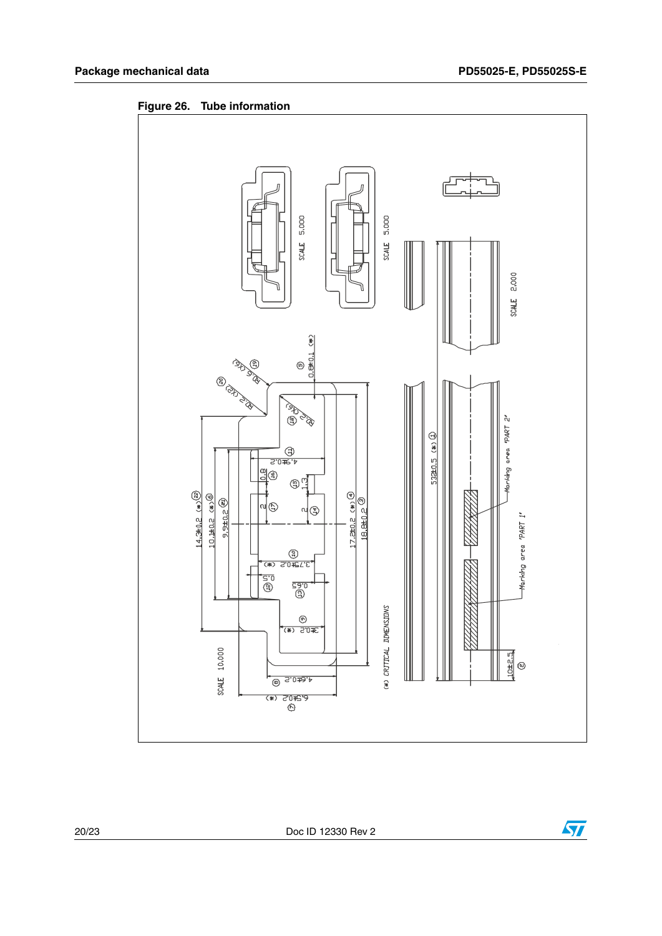

**Figure 26. Tube information**

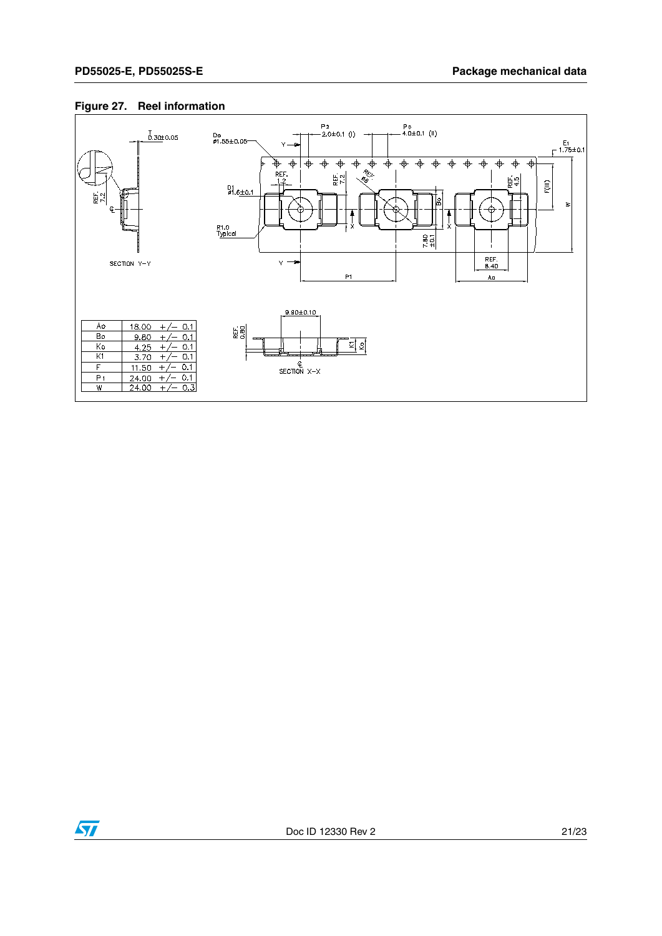#### **Figure 27. Reel information**



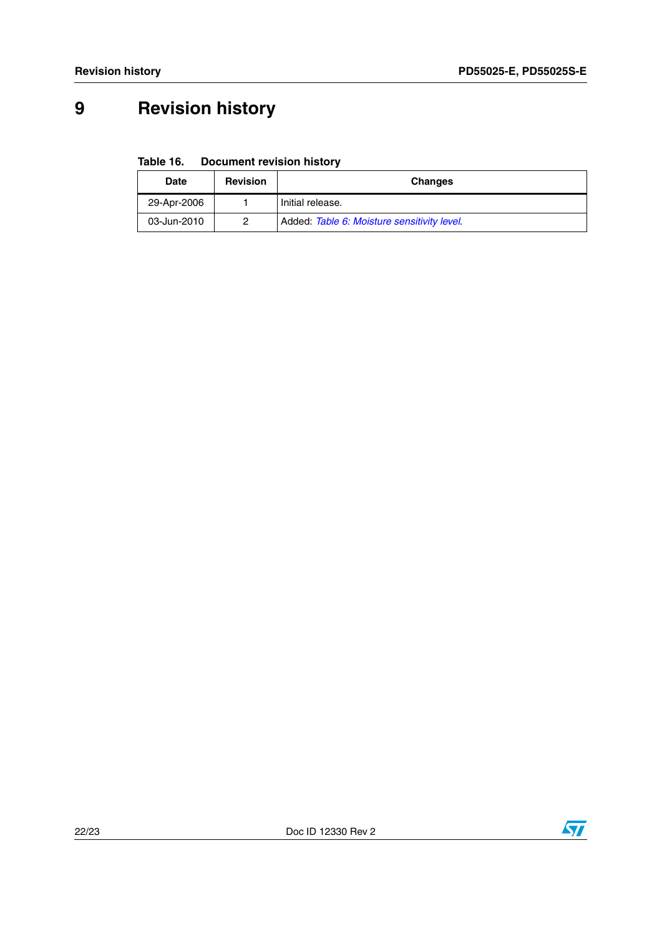# <span id="page-21-0"></span>**9 Revision history**

**Table 16. Document revision history**

| Date        | <b>Revision</b> | <b>Changes</b>                              |  |  |
|-------------|-----------------|---------------------------------------------|--|--|
| 29-Apr-2006 |                 | Initial release.                            |  |  |
| 03-Jun-2010 | 2               | Added: Table 6: Moisture sensitivity level. |  |  |